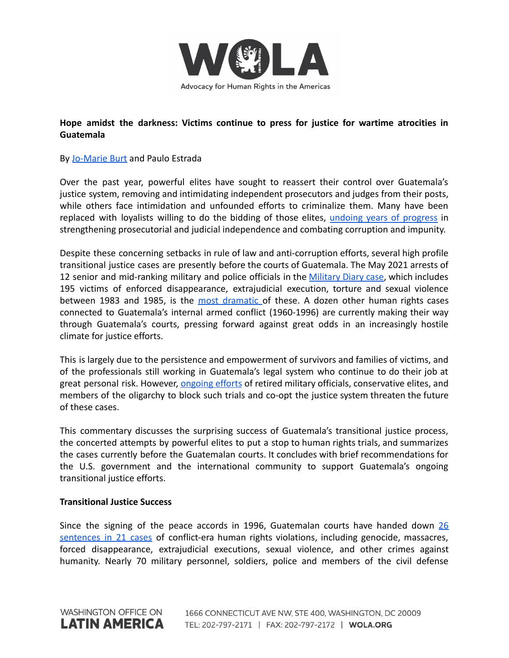

# **Hope amidst the darkness: Victims continue to press for justice for wartime atrocities in Guatemala**

### By [Jo-Marie Burt](https://www.wola.org/people/jo-marie-burt/) and Paulo Estrada

Over the past year, powerful elites have sought to reassert their control over Guatemala's justice system, removing and intimidating independent prosecutors and judges from their posts, while others face intimidation and unfounded efforts to criminalize them. Many have been replaced with loyalists willing to do the bidding of those elites, undoing years of [progress](https://www.foreignaffairs.com/articles/americas/2021-11-26/triangle-corruption) in strengthening prosecutorial and judicial independence and combating corruption and impunity.

Despite these concerning setbacks in rule of law and anti-corruption efforts, several high profile transitional justice cases are presently before the courts of Guatemala. The May 2021 arrests of 12 senior and mid-ranking military and police officials in the [Military](https://gazeta.gt/44733-2/) Diary case, which includes 195 victims of enforced disappearance, extrajudicial execution, torture and sexual violence between 1983 and 1985, is the most [dramatic](https://gazeta.gt/luz-verde-para-que-el-caso-diario-militar-continue-en-tribunales/) of these. A dozen other human rights cases connected to Guatemala's internal armed conflict (1960-1996) are currently making their way through Guatemala's courts, pressing forward against great odds in an increasingly hostile climate for justice efforts.

This is largely due to the persistence and empowerment of survivors and families of victims, and of the professionals still working in Guatemala's legal system who continue to do their job at great personal risk. However, [ongoing](https://www.ijmonitor.org/2020/01/the-future-of-accountability-efforts-in-guatemala-in-the-balance-as-new-hard-line-government-takes-office/) efforts of retired military officials, conservative elites, and members of the oligarchy to block such trials and co-opt the justice system threaten the future of these cases.

This commentary discusses the surprising success of Guatemala's transitional justice process, the concerted attempts by powerful elites to put a stop to human rights trials, and summarizes the cases currently before the Guatemalan courts. It concludes with brief recommendations for the U.S. government and the international community to support Guatemala's ongoing transitional justice efforts.

#### **Transitional Justice Success**

Since the signing of the peace accords in 1996, Guatemalan courts have handed down [26](https://cad5e396-f48c-4e90-80f5-27ccad29f65e.filesusr.com/ugd/f3f989_3f956a2e3ecc40ee96999f71c6ebb5af.pdf) [sentences](https://cad5e396-f48c-4e90-80f5-27ccad29f65e.filesusr.com/ugd/f3f989_3f956a2e3ecc40ee96999f71c6ebb5af.pdf) in 21 cases of conflict-era human rights violations, including genocide, massacres, forced disappearance, extrajudicial executions, sexual violence, and other crimes against humanity. Nearly 70 military personnel, soldiers, police and members of the civil defense

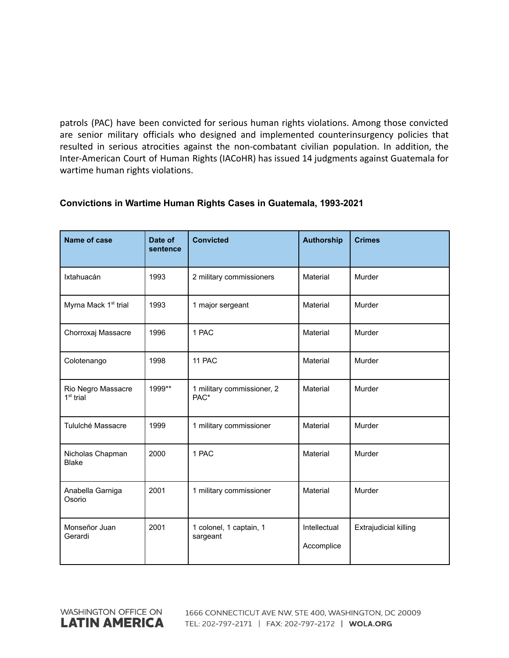patrols (PAC) have been convicted for serious human rights violations. Among those convicted are senior military officials who designed and implemented counterinsurgency policies that resulted in serious atrocities against the non-combatant civilian population. In addition, the Inter-American Court of Human Rights (IACoHR) has issued 14 judgments against Guatemala for wartime human rights violations.

| <b>Name of case</b>               | Date of<br>sentence | <b>Convicted</b>                    | <b>Authorship</b>          | <b>Crimes</b>         |  |
|-----------------------------------|---------------------|-------------------------------------|----------------------------|-----------------------|--|
| Ixtahuacán                        | 1993                | 2 military commissioners            | Material                   | Murder                |  |
| Myrna Mack 1 <sup>st</sup> trial  | 1993                | 1 major sergeant                    | Material                   | Murder                |  |
| Chorroxaj Massacre                | 1996                | 1 PAC                               | Material                   | Murder                |  |
| Colotenango                       | 1998                | 11 PAC                              | Material                   | Murder                |  |
| Rio Negro Massacre<br>$1st$ trial | 1999**              | 1 military commissioner, 2<br>PAC*  | Material                   | Murder                |  |
| Tululché Massacre                 | 1999                | 1 military commissioner             | Material                   | Murder                |  |
| Nicholas Chapman<br><b>Blake</b>  | 2000                | 1 PAC                               | Material                   | Murder                |  |
| Anabella Garniga<br>Osorio        | 2001                | 1 military commissioner             | Material                   | Murder                |  |
| Monseñor Juan<br>Gerardi          | 2001                | 1 colonel, 1 captain, 1<br>sargeant | Intellectual<br>Accomplice | Extrajudicial killing |  |

### **Convictions in Wartime Human Rights Cases in Guatemala, 1993-2021**

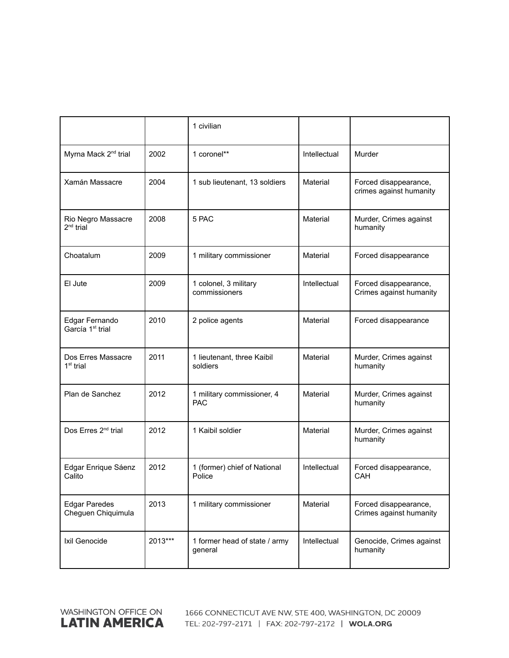|                                                |         | 1 civilian                               |              |                                                  |  |
|------------------------------------------------|---------|------------------------------------------|--------------|--------------------------------------------------|--|
| Myrna Mack 2 <sup>nd</sup> trial               | 2002    | 1 coronel**                              | Intellectual | Murder                                           |  |
| Xamán Massacre                                 | 2004    | 1 sub lieutenant, 13 soldiers            | Material     | Forced disappearance,<br>crimes against humanity |  |
| Rio Negro Massacre<br>$2^{nd}$ trial           | 2008    | 5 PAC                                    | Material     | Murder, Crimes against<br>humanity               |  |
| Choatalum                                      | 2009    | 1 military commissioner                  | Material     | Forced disappearance                             |  |
| El Jute                                        | 2009    | 1 colonel, 3 military<br>commissioners   | Intellectual | Forced disappearance,<br>Crimes against humanity |  |
| Edgar Fernando<br>García 1 <sup>st</sup> trial | 2010    | 2 police agents                          | Material     | Forced disappearance                             |  |
| Dos Erres Massacre<br>$1st$ trial              | 2011    | 1 lieutenant, three Kaibil<br>soldiers   | Material     | Murder, Crimes against<br>humanity               |  |
| Plan de Sanchez                                | 2012    | 1 military commissioner, 4<br><b>PAC</b> | Material     | Murder, Crimes against<br>humanity               |  |
| Dos Erres 2 <sup>nd</sup> trial                | 2012    | 1 Kaibil soldier                         | Material     | Murder, Crimes against<br>humanity               |  |
| Edgar Enrique Sáenz<br>Calito                  | 2012    | 1 (former) chief of National<br>Police   | Intellectual | Forced disappearance,<br><b>CAH</b>              |  |
| <b>Edgar Paredes</b><br>Cheguen Chiquimula     | 2013    | 1 military commissioner                  | Material     | Forced disappearance,<br>Crimes against humanity |  |
| Ixil Genocide                                  | 2013*** | 1 former head of state / army<br>general | Intellectual | Genocide, Crimes against<br>humanity             |  |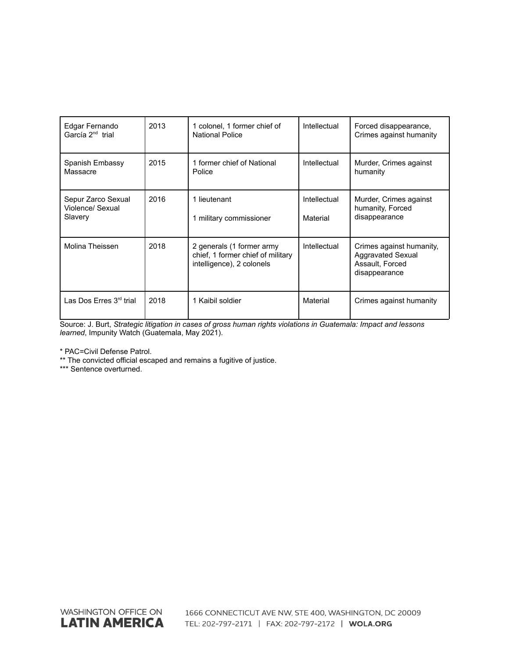| Edgar Fernando<br>García 2 <sup>nd</sup> trial    | 2013 | 1 colonel, 1 former chief of<br><b>National Police</b>                                      | Intellectual             | Forced disappearance,<br>Crimes against humanity                                         |
|---------------------------------------------------|------|---------------------------------------------------------------------------------------------|--------------------------|------------------------------------------------------------------------------------------|
| Spanish Embassy<br>Massacre                       | 2015 | 1 former chief of National<br>Police                                                        | Intellectual             | Murder, Crimes against<br>humanity                                                       |
| Sepur Zarco Sexual<br>Violence/ Sexual<br>Slavery | 2016 | 1 lieutenant<br>1 military commissioner                                                     | Intellectual<br>Material | Murder, Crimes against<br>humanity, Forced<br>disappearance                              |
| <b>Molina Theissen</b>                            | 2018 | 2 generals (1 former army<br>chief, 1 former chief of military<br>intelligence), 2 colonels | Intellectual             | Crimes against humanity,<br><b>Aggravated Sexual</b><br>Assault, Forced<br>disappearance |
| Las Dos Erres $3rd$ trial                         | 2018 | 1 Kaibil soldier                                                                            | Material                 | Crimes against humanity                                                                  |

Source: J. Burt, *Strategic litigation in cases of gross human rights violations in Guatemala: Impact and lessons learned*, Impunity Watch (Guatemala, May 2021).

\* PAC=Civil Defense Patrol.

\*\* The convicted official escaped and remains a fugitive of justice.

\*\*\* Sentence overturned.

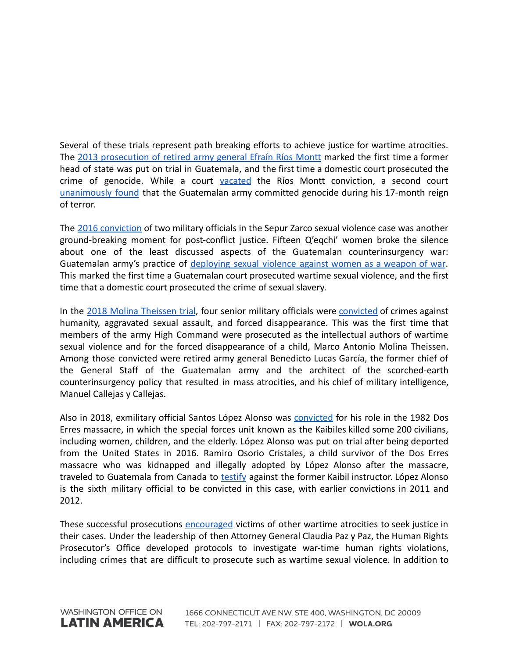Several of these trials represent path breaking efforts to achieve justice for wartime atrocities. The 2013 [prosecution](https://www.tandfonline.com/doi/full/10.1080/14623528.2016.1186436) of retired army general Efraín Ríos Montt marked the first time a former head of state was put on trial in Guatemala, and the first time a domestic court prosecuted the crime of genocide. While a court [vacated](https://www.wola.org/analysis/impeding-or-furthering-justice-in-guatemala/) the Ríos Montt conviction, a second court [unanimously](https://progressive.org/latest/court-delivers-bittersweet-justice-in-guatemala-burt-181016/) found that the Guatemalan army committed genocide during his 17-month reign of terror.

The 2016 [conviction](https://www.ijmonitor.org/2016/03/military-officers-convicted-in-landmark-sepur-zarco-sexual-violence-case/) of two military officials in the Sepur Zarco sexual violence case was another ground-breaking moment for post-conflict justice. Fifteen Q'eqchi' women broke the silence about one of the least discussed aspects of the Guatemalan counterinsurgency war: Guatemalan army's practice of [deploying](https://www.academia.edu/39989385/Gender_Justice_in_Post_Conflict_Guatemala_The_Sepur_Zarco_Sexual_Violence_and_Sexual_Slavery_Trial) sexual violence against women as a weapon of war. This marked the first time a Guatemalan court prosecuted wartime sexual violence, and the first time that a domestic court prosecuted the crime of sexual slavery.

In the 2018 Molina [Theissen](https://larrlasa.org/articles/10.25222/larr.776/) trial, four senior military officials were [convicted](https://www.ijmonitor.org/2018/08/the-molina-theissen-judgment-part-i-overview-of-the-courts-findings/) of crimes against humanity, aggravated sexual assault, and forced disappearance. This was the first time that members of the army High Command were prosecuted as the intellectual authors of wartime sexual violence and for the forced disappearance of a child, Marco Antonio Molina Theissen. Among those convicted were retired army general Benedicto Lucas García, the former chief of the General Staff of the Guatemalan army and the architect of the scorched-earth counterinsurgency policy that resulted in mass atrocities, and his chief of military intelligence, Manuel Callejas y Callejas.

Also in 2018, exmilitary official Santos López Alonso was [convicted](https://www.ijmonitor.org/2018/11/ex-special-forces-soldier-sentenced-to-5160-years-for-role-in-las-dos-erres-massacre/) for his role in the 1982 Dos Erres massacre, in which the special forces unit known as the Kaibiles killed some 200 civilians, including women, children, and the elderly. López Alonso was put on trial after being deported from the United States in 2016. Ramiro Osorio Cristales, a child survivor of the Dos Erres massacre who was kidnapped and illegally adopted by López Alonso after the massacre, traveled to Guatemala from Canada to [testify](https://www.ijmonitor.org/2018/10/i-speak-for-those-who-are-no-longer-here-child-survivor-of-the-dos-erres-massacre-testifies-against-kaibil-who-kidnapped-illegally-adopted-him/) against the former Kaibil instructor. López Alonso is the sixth military official to be convicted in this case, with earlier convictions in 2011 and 2012.

These successful prosecutions [encouraged](https://cad5e396-f48c-4e90-80f5-27ccad29f65e.filesusr.com/ugd/f3f989_3f956a2e3ecc40ee96999f71c6ebb5af.pdf) victims of other wartime atrocities to seek justice in their cases. Under the leadership of then Attorney General Claudia Paz y Paz, the Human Rights Prosecutor's Office developed protocols to investigate war-time human rights violations, including crimes that are difficult to prosecute such as wartime sexual violence. In addition to

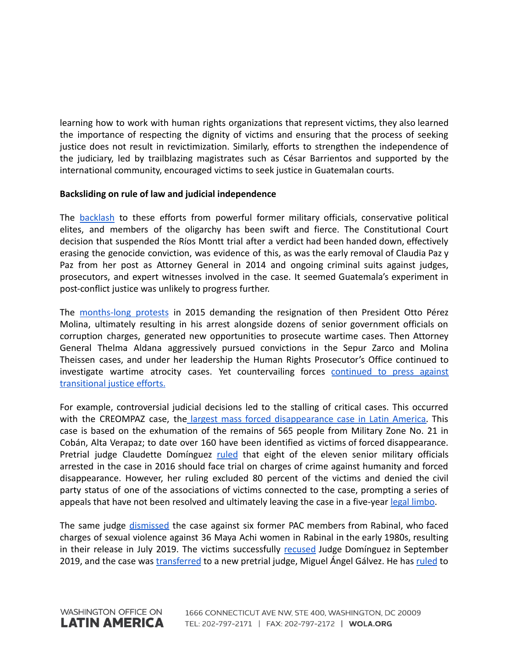learning how to work with human rights organizations that represent victims, they also learned the importance of respecting the dignity of victims and ensuring that the process of seeking justice does not result in revictimization. Similarly, efforts to strengthen the independence of the judiciary, led by trailblazing magistrates such as César Barrientos and supported by the international community, encouraged victims to seek justice in Guatemalan courts.

### **Backsliding on rule of law and judicial independence**

The [backlash](https://nacla.org/article/historic-verdict-guatemala%E2%80%99s-genocide-case-overturned-forces-impunity) to these efforts from powerful former military officials, conservative political elites, and members of the oligarchy has been swift and fierce. The Constitutional Court decision that suspended the Ríos Montt trial after a verdict had been handed down, effectively erasing the genocide conviction, was evidence of this, as was the early removal of Claudia Paz y Paz from her post as Attorney General in 2014 and ongoing criminal suits against judges, prosecutors, and expert witnesses involved in the case. It seemed Guatemala's experiment in post-conflict justice was unlikely to progress further.

The [months-long](https://www.wola.org/analysis/a-new-era-of-accountability-in-guatemala/) protests in 2015 demanding the resignation of then President Otto Pérez Molina, ultimately resulting in his arrest alongside dozens of senior government officials on corruption charges, generated new opportunities to prosecute wartime cases. Then Attorney General Thelma Aldana aggressively pursued convictions in the Sepur Zarco and Molina Theissen cases, and under her leadership the Human Rights Prosecutor's Office continued to investigate wartime atrocity cases. Yet countervailing forces [continued](https://www.wola.org/analysis/human-rights-trials-guatemala-two-steps-forward-one-step-back-jo-marie-burt/) to press against [transitional justice efforts.](https://www.wola.org/analysis/human-rights-trials-guatemala-two-steps-forward-one-step-back-jo-marie-burt/)

For example, controversial judicial decisions led to the stalling of critical cases. This occurred with the CREOMPAZ case, the largest mass forced [disappearance](https://laopinion.com/2016/01/06/historico-arresto-de-exmilitares-por-desapariciones-forzadas-en-guatemala/) case in Latin America. This case is based on the exhumation of the remains of 565 people from Military Zone No. 21 in Cobán, Alta Verapaz; to date over 160 have been identified as victims of forced disappearance. Pretrial judge Claudette Domínguez [ruled](https://www.ijmonitor.org/2016/06/eight-military-officers-to-stand-trial-in-creompaz-grave-crimes-case/) that eight of the eleven senior military officials arrested in the case in 2016 should face trial on charges of crime against humanity and forced disappearance. However, her ruling excluded 80 percent of the victims and denied the civil party status of one of the associations of victims connected to the case, prompting a series of appeals that have not been resolved and ultimately leaving the case in a five-year [legal limbo](https://www.ijmonitor.org/2017/06/tied-up-in-appeals-creompaz-enforced-disappearance-case-remains-stalled/).

The same judge [dismissed](https://www.ijmonitor.org/2019/07/judge-releases-six-accused-in-the-maya-achi-sexual-violence-case-no-safety-measures-taken-for-victims/) the case against six former PAC members from Rabinal, who faced charges of sexual violence against 36 Maya Achi women in Rabinal in the early 1980s, resulting in their release in July 2019. The victims successfully [recused](https://www.ijmonitor.org/2019/09/judge-dominguez-removed-from-maya-achi-sexual-violence-case/) Judge Domínguez in September 2019, and the case was [transferred](https://gazeta.gt/el-caso-de-violencia-sexual-contra-mujeres-maya-achi-toma-nuevo-rumbo/) to a new pretrial judge, Miguel Ángel Gálvez. He has [ruled](https://gazeta.gt/el-caso-de-violencia-sexual-contra-mujeres-maya-achi-toma-nuevo-rumbo/) to

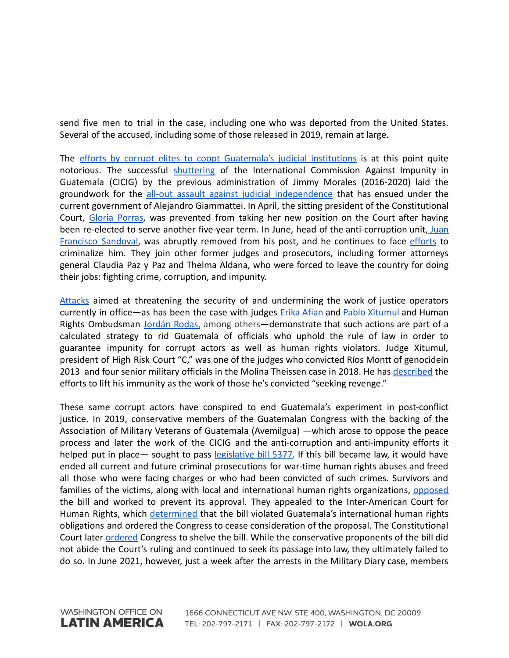send five men to trial in the case, including one who was deported from the United States. Several of the accused, including some of those released in 2019, remain at large.

The efforts by corrupt elites to coopt [Guatemala's](https://www.wola.org/analysis/ousting-anti-corruption-prosecutor-guatemala/) judicial institutions is at this point quite notorious. The successful [shuttering](https://www.wola.org/analysis/cicigs-legacy-fighting-corruption-guatemala/) of the International Commission Against Impunity in Guatemala (CICIG) by the previous administration of Jimmy Morales (2016-2020) laid the groundwork for the all-out assault against judicial [independence](https://www.wola.org/analysis/ousting-anti-corruption-prosecutor-guatemala/) that has ensued under the current government of Alejandro Giammattei. In April, the sitting president of the Constitutional Court, Gloria [Porras](https://www.reuters.com/world/americas/guatemalan-refuses-appoint-graft-fighting-top-judge-2021-04-14/), was prevented from taking her new position on the Court after having been re-elected to serve another five-year term. In June, head of the anti-corruption unit, [Juan](https://www.reuters.com/world/americas/guatemalan-anti-graft-crusader-leaves-country-after-being-stripped-his-post-2021-07-24/) [Francisco](https://www.reuters.com/world/americas/guatemalan-anti-graft-crusader-leaves-country-after-being-stripped-his-post-2021-07-24/) Sandoval, was abruptly removed from his post, and he continues to face [efforts](https://apnews.com/article/guatemala-guatemala-city-alejandro-giammattei-2ae9099287e0855ef918221c5c63e6a4) to criminalize him. They join other former judges and prosecutors, including former attorneys general Claudia Paz y Paz and Thelma Aldana, who were forced to leave the country for doing their jobs: fighting crime, corruption, and impunity.

[Attacks](https://www.wola.org/es/2021/10/cidh-guatemala-independencia-judicial/) aimed at threatening the security of and undermining the work of justice operators currently in office—as has been the case with judges Erika [Afian](https://lahora.gt/ataques-y-hostigamiento-a-jueces-los-desafios-de-la-justicia-independiente-segun-e-aifan/) and Pablo [Xitumul](https://www.no-ficcion.com/project/avanza-venganza-contra-justicia) and Human Rights Ombudsman [Jordán](http://www.oas.org/en/iachr/media_center/PReleases/2017/174.asp) Rodas, among others-demonstrate that such actions are part of a calculated strategy to rid Guatemala of officials who uphold the rule of law in order to guarantee impunity for corrupt actors as well as human rights violators. Judge Xitumul, president of High Risk Court "C," was one of the judges who convicted Ríos Montt of genocidein 2013 and four senior military officials in the Molina Theissen case in 2018. He has [described](https://apnews.com/article/guatemala-city-guatemala-courts-bfdc2b77a29ef9088a5ac89058edf71c) the efforts to lift his immunity as the work of those he's convicted "seeking revenge."

These same corrupt actors have conspired to end Guatemala's experiment in post-conflict justice. In 2019, conservative members of the Guatemalan Congress with the backing of the Association of Military Veterans of Guatemala (Avemilgua) —which arose to oppose the peace process and later the work of the CICIG and the anti-corruption and anti-impunity efforts it helped put in place— sought to pass [legislative](https://www.npr.org/2019/02/11/693492939/opinion-guatemala-must-not-grant-amnesty-to-war-criminals) bill 5377. If this bill became law, it would have ended all current and future criminal prosecutions for war-time human rights abuses and freed all those who were facing charges or who had been convicted of such crimes. Survivors and families of the victims, along with local and international human rights organizations, [opposed](https://www.ijmonitor.org/2019/03/guatemala-one-step-closer-to-imposing-general-amnesty-for-war-crimes/) the bill and worked to prevent its approval. They appealed to the Inter-American Court for Human Rights, which [determined](https://www.ijmonitor.org/2019/03/amidst-international-pressure-guatemala-congress-does-not-pass-amnesty-bill-for-now/) that the bill violated Guatemala's international human rights obligations and ordered the Congress to cease consideration of the proposal. The Constitutional Court later [ordered](https://www.ijmonitor.org/2019/07/constitutional-court-orders-congress-to-suspend-consideration-of-amnesty-law-proposal/) Congress to shelve the bill. While the conservative proponents of the bill did not abide the Court's ruling and continued to seek its passage into law, they ultimately failed to do so. In June 2021, however, just a week after the arrests in the Military Diary case, members

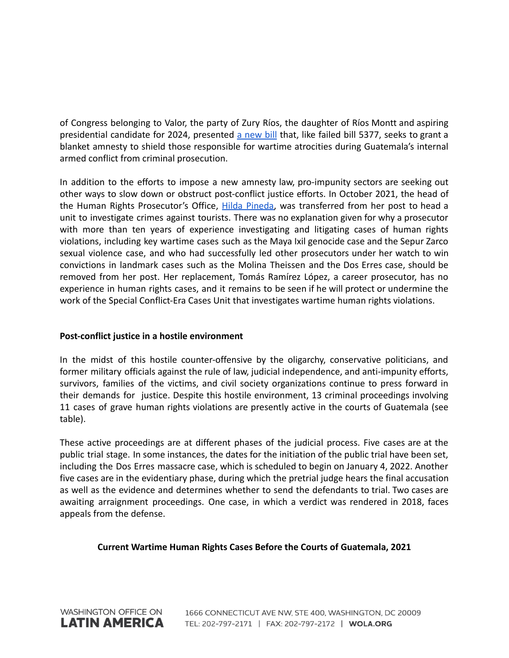of Congress belonging to Valor, the party of Zury Ríos, the daughter of Ríos Montt and aspiring presidential candidate for 2024, presented a [new](https://gazeta.gt/44733-2/) bill that, like failed bill 5377, seeks to grant a blanket amnesty to shield those responsible for wartime atrocities during Guatemala's internal armed conflict from criminal prosecution.

In addition to the efforts to impose a new amnesty law, pro-impunity sectors are seeking out other ways to slow down or obstruct post-conflict justice efforts. In October 2021, the head of the Human Rights Prosecutor's Office, Hilda [Pineda,](https://lahora.gt/presentan-amparo-contra-porras-por-remocion-de-hilda-pineda-de-la-fiscalia-de-dd-hh/) was transferred from her post to head a unit to investigate crimes against tourists. There was no explanation given for why a prosecutor with more than ten years of experience investigating and litigating cases of human rights violations, including key wartime cases such as the Maya Ixil genocide case and the Sepur Zarco sexual violence case, and who had successfully led other prosecutors under her watch to win convictions in landmark cases such as the Molina Theissen and the Dos Erres case, should be removed from her post. Her replacement, Tomás Ramírez López, a career prosecutor, has no experience in human rights cases, and it remains to be seen if he will protect or undermine the work of the Special Conflict-Era Cases Unit that investigates wartime human rights violations.

## **Post-conflict justice in a hostile environment**

In the midst of this hostile counter-offensive by the oligarchy, conservative politicians, and former military officials against the rule of law, judicial independence, and anti-impunity efforts, survivors, families of the victims, and civil society organizations continue to press forward in their demands for justice. Despite this hostile environment, 13 criminal proceedings involving 11 cases of grave human rights violations are presently active in the courts of Guatemala (see table).

These active proceedings are at different phases of the judicial process. Five cases are at the public trial stage. In some instances, the dates for the initiation of the public trial have been set, including the Dos Erres massacre case, which is scheduled to begin on January 4, 2022. Another five cases are in the evidentiary phase, during which the pretrial judge hears the final accusation as well as the evidence and determines whether to send the defendants to trial. Two cases are awaiting arraignment proceedings. One case, in which a verdict was rendered in 2018, faces appeals from the defense.

## **Current Wartime Human Rights Cases Before the Courts of Guatemala, 2021**

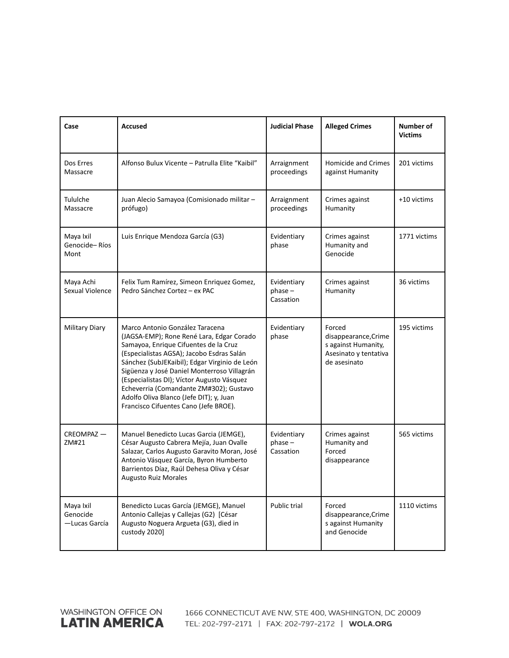| Case                                    | <b>Accused</b>                                                                                                                                                                                                                                                                                                                                                                                                                                  | <b>Judicial Phase</b>                 | <b>Alleged Crimes</b>                                                                          | Number of<br><b>Victims</b> |
|-----------------------------------------|-------------------------------------------------------------------------------------------------------------------------------------------------------------------------------------------------------------------------------------------------------------------------------------------------------------------------------------------------------------------------------------------------------------------------------------------------|---------------------------------------|------------------------------------------------------------------------------------------------|-----------------------------|
| Dos Erres<br>Massacre                   | Alfonso Bulux Vicente - Patrulla Elite "Kaibil"                                                                                                                                                                                                                                                                                                                                                                                                 | Arraignment<br>proceedings            | <b>Homicide and Crimes</b><br>against Humanity                                                 | 201 victims                 |
| Tululche<br>Massacre                    | Juan Alecio Samayoa (Comisionado militar -<br>prófugo)                                                                                                                                                                                                                                                                                                                                                                                          | Arraignment<br>proceedings            | Crimes against<br>Humanity                                                                     | +10 victims                 |
| Maya Ixil<br>Genocide-Ríos<br>Mont      | Luis Enrique Mendoza García (G3)                                                                                                                                                                                                                                                                                                                                                                                                                | Evidentiary<br>phase                  | Crimes against<br>Humanity and<br>Genocide                                                     | 1771 victims                |
| Maya Achi<br>Sexual Violence            | Felix Tum Ramírez, Simeon Enriquez Gomez,<br>Pedro Sánchez Cortez - ex PAC                                                                                                                                                                                                                                                                                                                                                                      | Evidentiary<br>$phase -$<br>Cassation | Crimes against<br>Humanity                                                                     | 36 victims                  |
| <b>Military Diary</b>                   | Marco Antonio González Taracena<br>(JAGSA-EMP); Rone René Lara, Edgar Corado<br>Samayoa, Enrique Cifuentes de la Cruz<br>(Especialistas AGSA); Jacobo Esdras Salán<br>Sánchez (SubJEKaibil); Edgar Virginio de León<br>Sigüenza y José Daniel Monterroso Villagrán<br>(Especialistas DI); Víctor Augusto Vásquez<br>Echeverria (Comandante ZM#302); Gustavo<br>Adolfo Oliva Blanco (Jefe DIT); y, Juan<br>Francisco Cifuentes Cano (Jefe BROE). | Evidentiary<br>phase                  | Forced<br>disappearance, Crime<br>s against Humanity,<br>Asesinato y tentativa<br>de asesinato | 195 victims                 |
| CREOMPAZ-<br>ZM#21                      | Manuel Benedicto Lucas Garcia (JEMGE),<br>César Augusto Cabrera Mejía, Juan Ovalle<br>Salazar, Carlos Augusto Garavito Moran, José<br>Antonio Vásquez García, Byron Humberto<br>Barrientos Díaz, Raúl Dehesa Oliva y César<br><b>Augusto Ruiz Morales</b>                                                                                                                                                                                       | Evidentiary<br>$phase -$<br>Cassation | Crimes against<br>Humanity and<br>Forced<br>disappearance                                      | 565 victims                 |
| Maya Ixil<br>Genocide<br>— Lucas García | Benedicto Lucas García (JEMGE), Manuel<br>Antonio Callejas y Callejas (G2) [César<br>Augusto Noguera Argueta (G3), died in<br>custody 2020]                                                                                                                                                                                                                                                                                                     | Public trial                          | Forced<br>disappearance, Crime<br>s against Humanity<br>and Genocide                           | 1110 victims                |

WASHINGTON OFFICE ON **LATIN AMERICA**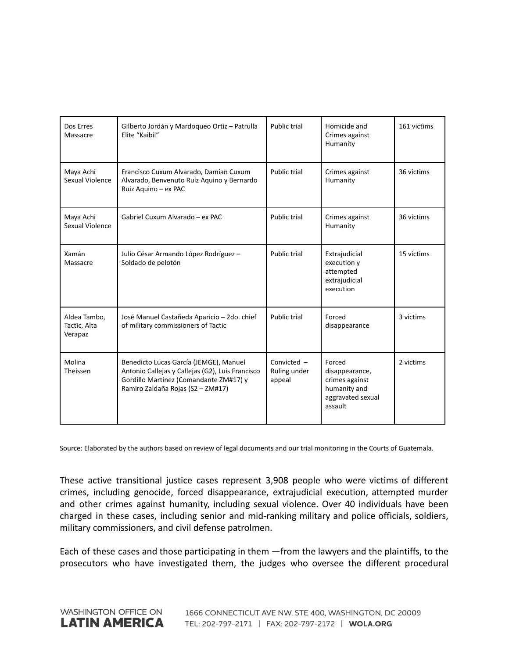| Dos Erres<br>Massacre                   | Gilberto Jordán y Mardoqueo Ortiz - Patrulla<br>Elite "Kaibil"                                                                                                            | Public trial                          | Homicide and<br>Crimes against<br>Humanity                                                 | 161 victims |
|-----------------------------------------|---------------------------------------------------------------------------------------------------------------------------------------------------------------------------|---------------------------------------|--------------------------------------------------------------------------------------------|-------------|
| Maya Achi<br>Sexual Violence            | Francisco Cuxum Alvarado, Damian Cuxum<br>Alvarado, Benvenuto Ruiz Aquino y Bernardo<br>Ruiz Aquino - ex PAC                                                              | Public trial                          | Crimes against<br>Humanity                                                                 | 36 victims  |
| Maya Achi<br>Sexual Violence            | Gabriel Cuxum Alvarado - ex PAC                                                                                                                                           | Public trial                          | Crimes against<br>Humanity                                                                 | 36 victims  |
| Xamán<br>Massacre                       | Julio César Armando López Rodríguez -<br>Soldado de pelotón                                                                                                               | Public trial                          | Extrajudicial<br>execution y<br>attempted<br>extrajudicial<br>execution                    | 15 victims  |
| Aldea Tambo,<br>Tactic, Alta<br>Verapaz | José Manuel Castañeda Aparicio - 2do. chief<br>of military commissioners of Tactic                                                                                        | Public trial                          | Forced<br>disappearance                                                                    | 3 victims   |
| Molina<br>Theissen                      | Benedicto Lucas García (JEMGE), Manuel<br>Antonio Callejas y Callejas (G2), Luis Francisco<br>Gordillo Martínez (Comandante ZM#17) y<br>Ramiro Zaldaña Rojas (S2 - ZM#17) | Convicted -<br>Ruling under<br>appeal | Forced<br>disappearance,<br>crimes against<br>humanity and<br>aggravated sexual<br>assault | 2 victims   |

Source: Elaborated by the authors based on review of legal documents and our trial monitoring in the Courts of Guatemala.

These active transitional justice cases represent 3,908 people who were victims of different crimes, including genocide, forced disappearance, extrajudicial execution, attempted murder and other crimes against humanity, including sexual violence. Over 40 individuals have been charged in these cases, including senior and mid-ranking military and police officials, soldiers, military commissioners, and civil defense patrolmen.

Each of these cases and those participating in them —from the lawyers and the plaintiffs, to the prosecutors who have investigated them, the judges who oversee the different procedural

**WASHINGTON OFFICE ON** 

**LATIN AMERICA**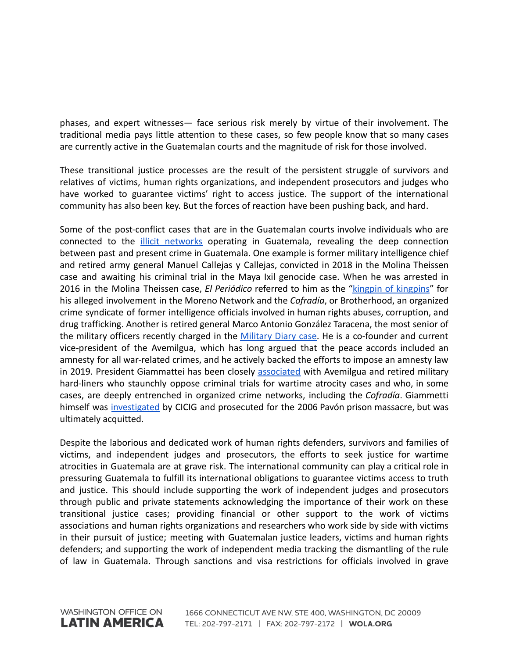phases, and expert witnesses— face serious risk merely by virtue of their involvement. The traditional media pays little attention to these cases, so few people know that so many cases are currently active in the Guatemalan courts and the magnitude of risk for those involved.

These transitional justice processes are the result of the persistent struggle of survivors and relatives of victims, human rights organizations, and independent prosecutors and judges who have worked to guarantee victims' right to access justice. The support of the international community has also been key. But the forces of reaction have been pushing back, and hard.

Some of the post-conflict cases that are in the Guatemalan courts involve individuals who are connected to the illicit [networks](https://www.wola.org/wp-content/uploads/2003/09/Hidden-Powers-Long-Version.pdf) operating in Guatemala, revealing the deep connection between past and present crime in Guatemala. One example is former military intelligence chief and retired army general Manuel Callejas y Callejas, convicted in 2018 in the Molina Theissen case and awaiting his criminal trial in the Maya Ixil genocide case. When he was arrested in 2016 in the Molina Theissen case, *El Periódico* referred to him as the "kingpin of [kingpins](https://elperiodico.com.gt/nacionales/2016/01/06/cae-el-capo-de-capos-manuel-antonio-callejas/)" for his alleged involvement in the Moreno Network and the *Cofradía*, or Brotherhood, an organized crime syndicate of former intelligence officials involved in human rights abuses, corruption, and drug trafficking. Another is retired general Marco Antonio González Taracena, the most senior of the military officers recently charged in the [Military](https://gazeta.gt/44733-2/) Diary case. He is a co-founder and current vice-president of the Avemilgua, which has long argued that the peace accords included an amnesty for all war-related crimes, and he actively backed the efforts to impose an amnesty law in 2019. President Giammattei has been closely [associated](https://www.ijmonitor.org/2020/01/the-future-of-accountability-efforts-in-guatemala-in-the-balance-as-new-hard-line-government-takes-office/) with Avemilgua and retired military hard-liners who staunchly oppose criminal trials for wartime atrocity cases and who, in some cases, are deeply entrenched in organized crime networks, including the *Cofradía*. Giammetti himself was [investigated](https://www.ijmonitor.org/2020/01/the-future-of-accountability-efforts-in-guatemala-in-the-balance-as-new-hard-line-government-takes-office/) by CICIG and prosecuted for the 2006 Pavón prison massacre, but was ultimately acquitted.

Despite the laborious and dedicated work of human rights defenders, survivors and families of victims, and independent judges and prosecutors, the efforts to seek justice for wartime atrocities in Guatemala are at grave risk. The international community can play a critical role in pressuring Guatemala to fulfill its international obligations to guarantee victims access to truth and justice. This should include supporting the work of independent judges and prosecutors through public and private statements acknowledging the importance of their work on these transitional justice cases; providing financial or other support to the work of victims associations and human rights organizations and researchers who work side by side with victims in their pursuit of justice; meeting with Guatemalan justice leaders, victims and human rights defenders; and supporting the work of independent media tracking the dismantling of the rule of law in Guatemala. Through sanctions and visa restrictions for officials involved in grave

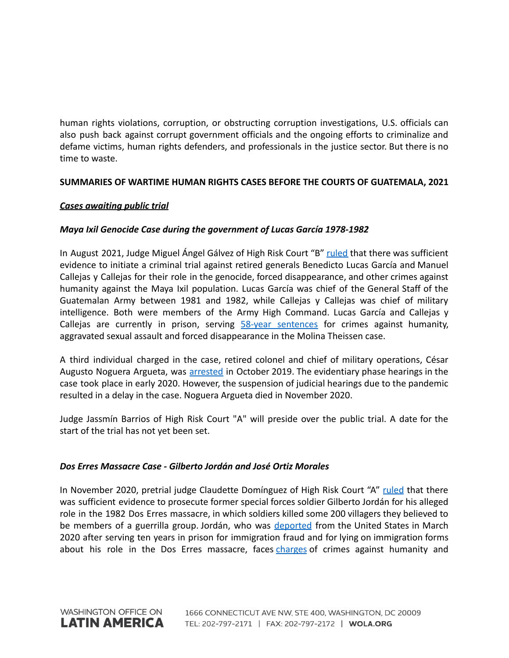human rights violations, corruption, or obstructing corruption investigations, U.S. officials can also push back against corrupt government officials and the ongoing efforts to criminalize and defame victims, human rights defenders, and professionals in the justice sector. But there is no time to waste.

# **SUMMARIES OF WARTIME HUMAN RIGHTS CASES BEFORE THE COURTS OF GUATEMALA, 2021**

## *Cases awaiting public trial*

# *Maya Ixil Genocide Case during the government of Lucas García 1978-1982*

In August 2021, Judge Miguel Ángel Gálvez of High Risk Court "B" [ruled](https://gazeta.gt/jefes-militares-a-juicio-por-genocidio-maya-ixil-1978-1982/) that there was sufficient evidence to initiate a criminal trial against retired generals Benedicto Lucas García and Manuel Callejas y Callejas for their role in the genocide, forced disappearance, and other crimes against humanity against the Maya Ixil population. Lucas García was chief of the General Staff of the Guatemalan Army between 1981 and 1982, while Callejas y Callejas was chief of military intelligence. Both were members of the Army High Command. Lucas García and Callejas y Callejas are currently in prison, serving 58-year [sentences](https://www.ijmonitor.org/2018/08/the-molina-theissen-judgment-part-i-overview-of-the-courts-findings/) for crimes against humanity, aggravated sexual assault and forced disappearance in the Molina Theissen case.

A third individual charged in the case, retired colonel and chief of military operations, César Augusto Noguera Argueta, was [arrested](https://www.ijmonitor.org/2019/10/former-chief-of-military-operations-arrested-in-maya-ixil-genocide-case/) in October 2019. The evidentiary phase hearings in the case took place in early 2020. However, the suspension of judicial hearings due to the pandemic resulted in a delay in the case. Noguera Argueta died in November 2020.

Judge Jassmín Barrios of High Risk Court "A" will preside over the public trial. A date for the start of the trial has not yet been set.

## *Dos Erres Massacre Case - Gilberto Jordán and José Ortiz Morales*

In November 2020, pretrial judge Claudette Domínguez of High Risk Court "A" [ruled](https://www.ijmonitor.org/2020/11/judge-orders-trial-of-ex-kaibil-for-his-role-in-dos-erres-massacre/) that there was sufficient evidence to prosecute former special forces soldier Gilberto Jordán for his alleged role in the 1982 Dos Erres massacre, in which soldiers killed some 200 villagers they believed to be members of a guerrilla group. Jordán, who was [deported](https://www.ijmonitor.org/2020/03/ex-kaibil-who-admitted-to-killing-in-dos-erres-massacre-deported-to-guatemala/) from the United States in March 2020 after serving ten years in prison for immigration fraud and for lying on immigration forms about his role in the Dos Erres massacre, faces [charges](https://www.ijmonitor.org/2020/11/judge-orders-trial-of-ex-kaibil-for-his-role-in-dos-erres-massacre/) of crimes against humanity and

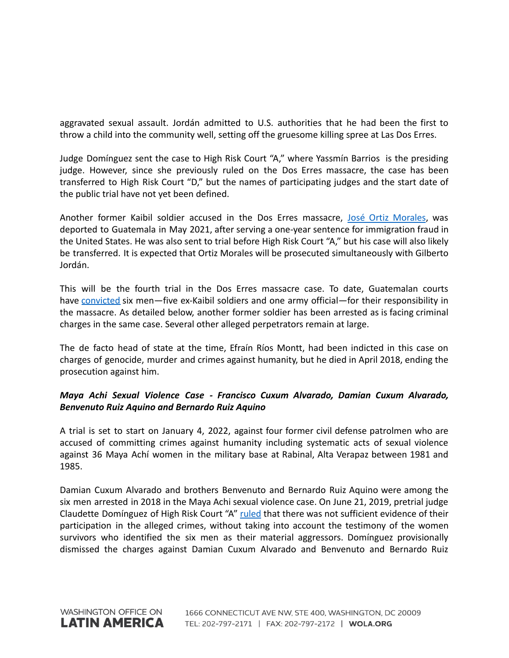aggravated sexual assault. Jordán admitted to U.S. authorities that he had been the first to throw a child into the community well, setting off the gruesome killing spree at Las Dos Erres.

Judge Domínguez sent the case to High Risk Court "A," where Yassmín Barrios is the presiding judge. However, since she previously ruled on the Dos Erres massacre, the case has been transferred to High Risk Court "D," but the names of participating judges and the start date of the public trial have not yet been defined.

Another former Kaibil soldier accused in the Dos Erres massacre, José Ortiz [Morales](https://www.ice.gov/news/releases/ice-removes-guatemalan-citizen-alleged-human-rights-violations-connection-1982-dos), was deported to Guatemala in May 2021, after serving a one-year sentence for immigration fraud in the United States. He was also sent to trial before High Risk Court "A," but his case will also likely be transferred. It is expected that Ortiz Morales will be prosecuted simultaneously with Gilberto Jordán.

This will be the fourth trial in the Dos Erres massacre case. To date, Guatemalan courts have [convicted](https://www.ijmonitor.org/2018/11/ex-special-forces-soldier-sentenced-to-5160-years-for-role-in-las-dos-erres-massacre/) six men—five ex-Kaibil soldiers and one army official—for their responsibility in the massacre. As detailed below, another former soldier has been arrested as is facing criminal charges in the same case. Several other alleged perpetrators remain at large.

The de facto head of state at the time, Efraín Ríos Montt, had been indicted in this case on charges of genocide, murder and crimes against humanity, but he died in April 2018, ending the prosecution against him.

# *Maya Achi Sexual Violence Case - Francisco Cuxum Alvarado, Damian Cuxum Alvarado, Benvenuto Ruiz Aquino and Bernardo Ruiz Aquino*

A trial is set to start on January 4, 2022, against four former civil defense patrolmen who are accused of committing crimes against humanity including systematic acts of sexual violence against 36 Maya Achí women in the military base at Rabinal, Alta Verapaz between 1981 and 1985.

Damian Cuxum Alvarado and brothers Benvenuto and Bernardo Ruiz Aquino were among the six men arrested in 2018 in the Maya Achi sexual violence case. On June 21, 2019, pretrial judge Claudette Domínguez of High Risk Court "A" [ruled](https://www.ijmonitor.org/2019/06/in-major-setback-judge-dismisses-charges-in-the-maya-achi-sexual-violence-case/) that there was not sufficient evidence of their participation in the alleged crimes, without taking into account the testimony of the women survivors who identified the six men as their material aggressors. Domínguez provisionally dismissed the charges against Damian Cuxum Alvarado and Benvenuto and Bernardo Ruiz

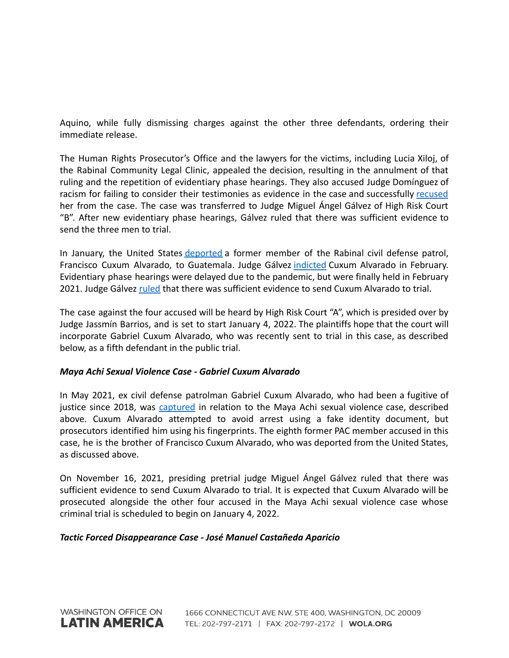Aquino, while fully dismissing charges against the other three defendants, ordering their immediate release.

The Human Rights Prosecutor's Office and the lawyers for the victims, including Lucia Xiloj, of the Rabinal Community Legal Clinic, appealed the decision, resulting in the annulment of that ruling and the repetition of evidentiary phase hearings. They also accused Judge Domínguez of racism for failing to consider their testimonies as evidence in the case and successfully [recused](https://www.ijmonitor.org/2019/09/judge-dominguez-removed-from-maya-achi-sexual-violence-case/) her from the case. The case was transferred to Judge Miguel Ángel Gálvez of High Risk Court "B". After new evidentiary phase hearings, Gálvez ruled that there was sufficient evidence to send the three men to trial.

In January, the United States [deported](https://www.ijmonitor.org/2020/01/guatemalan-man-wanted-in-the-maya-achi-sexual-violence-case-arrested/) a former member of the Rabinal civil defense patrol, Francisco Cuxum Alvarado, to Guatemala. Judge Gálvez [indicted](https://www.ijmonitor.org/2020/02/former-paramilitary-indicted-in-guatemala-in-maya-achi-sexual-violence-case/) Cuxum Alvarado in February. Evidentiary phase hearings were delayed due to the pandemic, but were finally held in February 2021. Judge Gálvez [ruled](https://gazeta.gt/el-caso-de-violencia-sexual-contra-mujeres-maya-achi-toma-nuevo-rumbo/) that there was sufficient evidence to send Cuxum Alvarado to trial.

The case against the four accused will be heard by High Risk Court "A", which is presided over by Judge Jassmín Barrios, and is set to start January 4, 2022. The plaintiffs hope that the court will incorporate Gabriel Cuxum Alvarado, who was recently sent to trial in this case, as described below, as a fifth defendant in the public trial.

## *Maya Achi Sexual Violence Case - Gabriel Cuxum Alvarado*

In May 2021, ex civil defense patrolman Gabriel Cuxum Alvarado, who had been a fugitive of justice since 2018, was [captured](https://www.swissinfo.ch/spa/guatemala-d-humanos_detienen-a-un-expatrullero-vinculado-a-caso-de-violencia-sexual-en-guatemala/46623652) in relation to the Maya Achi sexual violence case, described above. Cuxum Alvarado attempted to avoid arrest using a fake identity document, but prosecutors identified him using his fingerprints. The eighth former PAC member accused in this case, he is the brother of Francisco Cuxum Alvarado, who was deported from the United States, as discussed above.

On November 16, 2021, presiding pretrial judge Miguel Ángel Gálvez ruled that there was sufficient evidence to send Cuxum Alvarado to trial. It is expected that Cuxum Alvarado will be prosecuted alongside the other four accused in the Maya Achi sexual violence case whose criminal trial is scheduled to begin on January 4, 2022.

#### *Tactic Forced Disappearance Case - José Manuel Castañeda Aparicio*

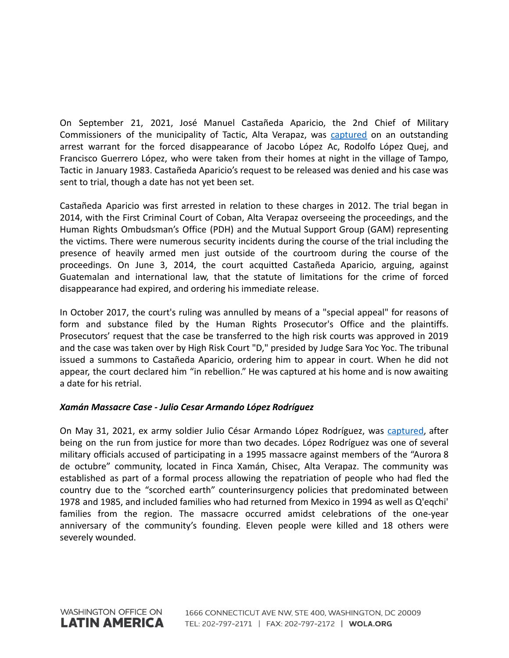On September 21, 2021, José Manuel Castañeda Aparicio, the 2nd Chief of Military Commissioners of the municipality of Tactic, Alta Verapaz, was [captured](https://www.prensalibre.com/ciudades/zacapa/excomisionado-militar-es-detenido-por-desaparicion-forzada-de-tres-personas-en-aldea-tampo-tactic-alta-verapaz-en-1980-breaking/) on an outstanding arrest warrant for the forced disappearance of Jacobo López Ac, Rodolfo López Quej, and Francisco Guerrero López, who were taken from their homes at night in the village of Tampo, Tactic in January 1983. Castañeda Aparicio's request to be released was denied and his case was sent to trial, though a date has not yet been set.

Castañeda Aparicio was first arrested in relation to these charges in 2012. The trial began in 2014, with the First Criminal Court of Coban, Alta Verapaz overseeing the proceedings, and the Human Rights Ombudsman's Office (PDH) and the Mutual Support Group (GAM) representing the victims. There were numerous security incidents during the course of the trial including the presence of heavily armed men just outside of the courtroom during the course of the proceedings. On June 3, 2014, the court acquitted Castañeda Aparicio, arguing, against Guatemalan and international law, that the statute of limitations for the crime of forced disappearance had expired, and ordering his immediate release.

In October 2017, the court's ruling was annulled by means of a "special appeal" for reasons of form and substance filed by the Human Rights Prosecutor's Office and the plaintiffs. Prosecutors' request that the case be transferred to the high risk courts was approved in 2019 and the case was taken over by High Risk Court "D," presided by Judge Sara Yoc Yoc. The tribunal issued a summons to Castañeda Aparicio, ordering him to appear in court. When he did not appear, the court declared him "in rebellion." He was captured at his home and is now awaiting a date for his retrial.

# *Xamán Massacre Case - Julio Cesar Armando López Rodríguez*

On May 31, 2021, ex army soldier Julio César Armando López Rodríguez, was [captured,](https://www.prensalibre.com/hemeroteca/a-20-aos-de-la-masacre-de-xaman/) after being on the run from justice for more than two decades. López Rodríguez was one of several military officials accused of participating in a 1995 massacre against members of the "Aurora 8 de octubre" community, located in Finca Xamán, Chisec, Alta Verapaz. The community was established as part of a formal process allowing the repatriation of people who had fled the country due to the "scorched earth" counterinsurgency policies that predominated between 1978 and 1985, and included families who had returned from Mexico in 1994 as well as Q'eqchi' families from the region. The massacre occurred amidst celebrations of the one-year anniversary of the community's founding. Eleven people were killed and 18 others were severely wounded.

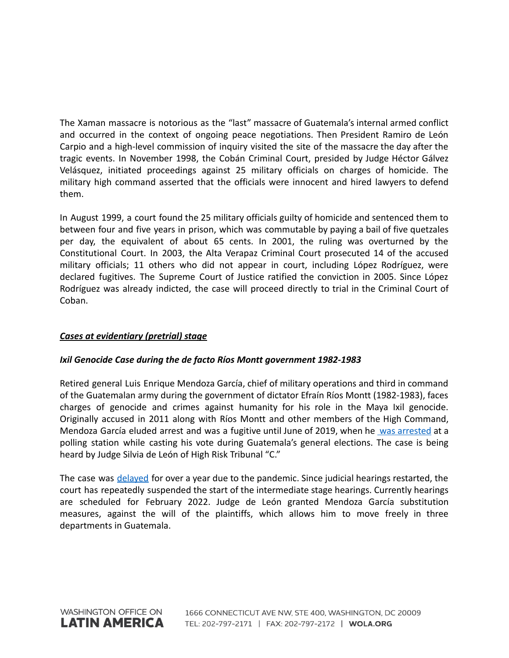The Xaman massacre is notorious as the "last" massacre of Guatemala's internal armed conflict and occurred in the context of ongoing peace negotiations. Then President Ramiro de León Carpio and a high-level commission of inquiry visited the site of the massacre the day after the tragic events. In November 1998, the Cobán Criminal Court, presided by Judge Héctor Gálvez Velásquez, initiated proceedings against 25 military officials on charges of homicide. The military high command asserted that the officials were innocent and hired lawyers to defend them.

In August 1999, a court found the 25 military officials guilty of homicide and sentenced them to between four and five years in prison, which was commutable by paying a bail of five quetzales per day, the equivalent of about 65 cents. In 2001, the ruling was overturned by the Constitutional Court. In 2003, the Alta Verapaz Criminal Court prosecuted 14 of the accused military officials; 11 others who did not appear in court, including López Rodríguez, were declared fugitives. The Supreme Court of Justice ratified the conviction in 2005. Since López Rodríguez was already indicted, the case will proceed directly to trial in the Criminal Court of Coban.

# *Cases at evidentiary (pretrial) stage*

## *Ixil Genocide Case during the de facto Ríos Montt government 1982-1983*

Retired general Luis Enrique Mendoza García, chief of military operations and third in command of the Guatemalan army during the government of dictator Efraín Ríos Montt (1982-1983), faces charges of genocide and crimes against humanity for his role in the Maya Ixil genocide. Originally accused in 2011 along with Ríos Montt and other members of the High Command, Mendoza García eluded arrest and was a fugitive until June of 2019, when he was [arrested](https://www.ijmonitor.org/2019/06/rios-montts-chief-of-operations-fugitive-since-2011-arrested-while-voting/) at a polling station while casting his vote during Guatemala's general elections. The case is being heard by Judge Silvia de León of High Risk Tribunal "C."

The case was delayed for over a year due to the pandemic. Since judicial hearings restarted, the court has repeatedly suspended the start of the intermediate stage hearings. Currently hearings are scheduled for February 2022. Judge de León granted Mendoza García substitution measures, against the will of the plaintiffs, which allows him to move freely in three departments in Guatemala.

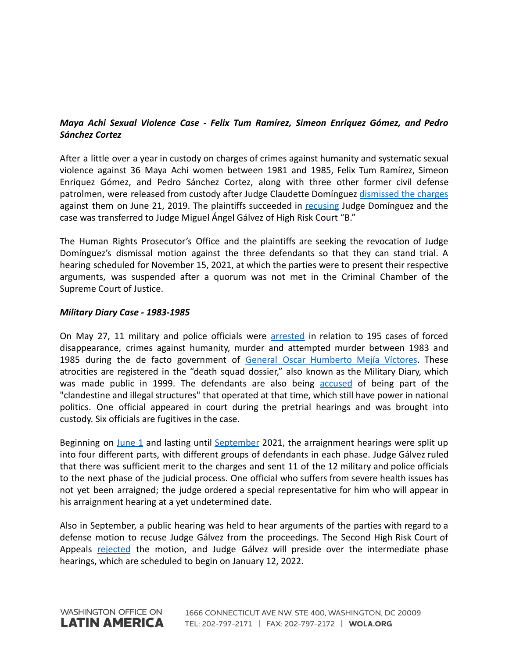# *Maya Achi Sexual Violence Case - Felix Tum Ramírez, Simeon Enriquez Gómez, and Pedro Sánchez Cortez*

After a little over a year in custody on charges of crimes against humanity and systematic sexual violence against 36 Maya Achi women between 1981 and 1985, Felix Tum Ramírez, Simeon Enriquez Gómez, and Pedro Sánchez Cortez, along with three other former civil defense patrolmen, were released from custody after Judge Claudette Domínguez [dismissed](https://www.ijmonitor.org/2019/06/in-major-setback-judge-dismisses-charges-in-the-maya-achi-sexual-violence-case/) the charges against them on June 21, 2019. The plaintiffs succeeded in [recusing](https://www.ijmonitor.org/2019/09/judge-dominguez-removed-from-maya-achi-sexual-violence-case/) Judge Domínguez and the case was transferred to Judge Miguel Ángel Gálvez of High Risk Court "B."

The Human Rights Prosecutor's Office and the plaintiffs are seeking the revocation of Judge Domínguez's dismissal motion against the three defendants so that they can stand trial. A hearing scheduled for November 15, 2021, at which the parties were to present their respective arguments, was suspended after a quorum was not met in the Criminal Chamber of the Supreme Court of Justice.

### *Military Diary Case - 1983-1985*

On May 27, 11 military and police officials were [arrested](https://gazeta.gt/44733-2/) in relation to 195 cases of forced disappearance, crimes against humanity, murder and attempted murder between 1983 and 1985 during the de facto government of General Oscar [Humberto](https://gazeta.gt/el-caso-diario-militar-llega-a-los-tribunales-de-guatemala-iii/) Mejía Víctores. These atrocities are registered in the "death squad dossier," also known as the Military Diary, which was made public in 1999. The defendants are also being [accused](https://gazeta.gt/el-caso-diario-militar-llega-a-los-tribunales-de-guatemala-ii/) of being part of the "clandestine and illegal structures" that operated at that time, which still have power in national politics. One official appeared in court during the pretrial hearings and was brought into custody. Six officials are fugitives in the case.

Beginning on [June](https://gazeta.gt/44733-2/) 1 and lasting until [September](https://gazeta.gt/luz-verde-para-que-el-caso-diario-militar-continue-en-tribunales/) 2021, the arraignment hearings were split up into four different parts, with different groups of defendants in each phase. Judge Gálvez ruled that there was sufficient merit to the charges and sent 11 of the 12 military and police officials to the next phase of the judicial process. One official who suffers from severe health issues has not yet been arraigned; the judge ordered a special representative for him who will appear in his arraignment hearing at a yet undetermined date.

Also in September, a public hearing was held to hear arguments of the parties with regard to a defense motion to recuse Judge Gálvez from the proceedings. The Second High Risk Court of Appeals [rejected](https://gazeta.gt/luz-verde-para-que-el-caso-diario-militar-continue-en-tribunales/) the motion, and Judge Gálvez will preside over the intermediate phase hearings, which are scheduled to begin on January 12, 2022.

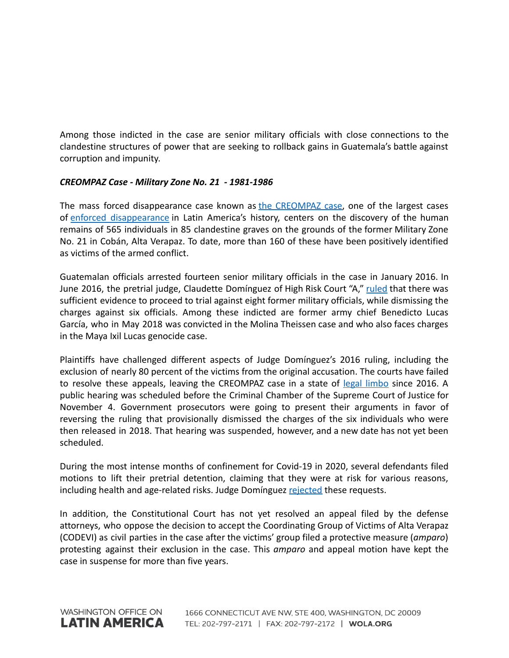Among those indicted in the case are senior military officials with close connections to the clandestine structures of power that are seeking to rollback gains in Guatemala's battle against corruption and impunity.

## *CREOMPAZ Case - Military Zone No. 21 - 1981-1986*

The mass forced disappearance case known as the [CREOMPAZ](https://www.ijmonitor.org/2017/06/tied-up-in-appeals-creompaz-enforced-disappearance-case-remains-stalled/) case, one of the largest cases of enforced [disappearance](https://laopinion.com/2016/01/06/historico-arresto-de-exmilitares-por-desapariciones-forzadas-en-guatemala/) in Latin America's history, centers on the discovery of the human remains of 565 individuals in 85 clandestine graves on the grounds of the former Military Zone No. 21 in Cobán, Alta Verapaz. To date, more than 160 of these have been positively identified as victims of the armed conflict.

Guatemalan officials arrested fourteen senior military officials in the case in January 2016. In June 2016, the pretrial judge, Claudette Domínguez of High Risk Court "A," [ruled](https://www.ijmonitor.org/2016/06/eight-military-officers-to-stand-trial-in-creompaz-grave-crimes-case/) that there was sufficient evidence to proceed to trial against eight former military officials, while dismissing the charges against six officials. Among these indicted are former army chief Benedicto Lucas García, who in May 2018 was convicted in the Molina Theissen case and who also faces charges in the Maya Ixil Lucas genocide case.

Plaintiffs have challenged different aspects of Judge Domínguez's 2016 ruling, including the exclusion of nearly 80 percent of the victims from the original accusation. The courts have failed to resolve these appeals, leaving the CREOMPAZ case in a state of legal [limbo](https://www.ijmonitor.org/2017/06/tied-up-in-appeals-creompaz-enforced-disappearance-case-remains-stalled/) since 2016. A public hearing was scheduled before the Criminal Chamber of the Supreme Court of Justice for November 4. Government prosecutors were going to present their arguments in favor of reversing the ruling that provisionally dismissed the charges of the six individuals who were then released in 2018. That hearing was suspended, however, and a new date has not yet been scheduled.

During the most intense months of confinement for Covid-19 in 2020, several defendants filed motions to lift their pretrial detention, claiming that they were at risk for various reasons, including health and age-related risks. Judge Domínguez [rejected](https://www.ijmonitor.org/2020/05/judge-denies-creompaz-defendants-request-for-prison-release/) these requests.

In addition, the Constitutional Court has not yet resolved an appeal filed by the defense attorneys, who oppose the decision to accept the Coordinating Group of Victims of Alta Verapaz (CODEVI) as civil parties in the case after the victims' group filed a protective measure (*amparo*) protesting against their exclusion in the case. This *amparo* and appeal motion have kept the case in suspense for more than five years.

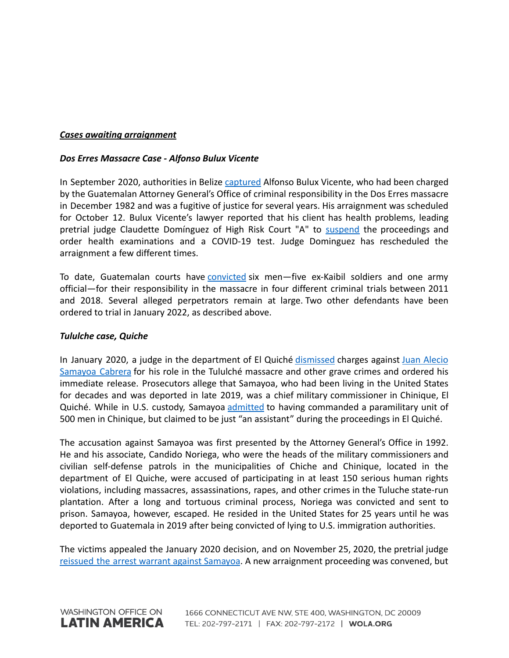### *Cases awaiting arraignment*

#### *Dos Erres Massacre Case - Alfonso Bulux Vicente*

In September 2020, authorities in Belize [captured](https://belizean.com/national/guatemalan-fugitive-alfonso-bulux-vicente-expelled-from-belize) Alfonso Bulux Vicente, who had been charged by the Guatemalan Attorney General's Office of criminal responsibility in the Dos Erres massacre in December 1982 and was a fugitive of justice for several years. His arraignment was scheduled for October 12. Bulux Vicente's lawyer reported that his client has health problems, leading pretrial judge Claudette Domínguez of High Risk Court "A" to [suspend](https://www.prensacomunitaria.org/2021/10/se-suspende-la-primera-declaracion-para-exkaibil-vinculado-en-caso-dos-erres/).) the proceedings and order health examinations and a COVID-19 test. Judge Dominguez has rescheduled the arraignment a few different times.

To date, Guatemalan courts have [convicted](https://www.ijmonitor.org/2018/11/ex-special-forces-soldier-sentenced-to-5160-years-for-role-in-las-dos-erres-massacre/) six men-five ex-Kaibil soldiers and one army official—for their responsibility in the massacre in four different criminal trials between 2011 and 2018. Several alleged perpetrators remain at large. Two other defendants have been ordered to trial in January 2022, as described above.

#### *Tululche case, Quiche*

In January 2020, a judge in the department of El Quiché [dismissed](https://www.ijmonitor.org/2020/01/a-perfect-storm-guatemalan-judge-dismisses-war-crimes-charges-against-feared-military-commissioner/) charges against Juan [Alecio](https://www.ijmonitor.org/2019/12/after-25-years-in-united-states-guatemalan-accused-of-mass-atrocities-to-face-charges/) [Samayoa](https://www.ijmonitor.org/2019/12/after-25-years-in-united-states-guatemalan-accused-of-mass-atrocities-to-face-charges/) Cabrera for his role in the Tululché massacre and other grave crimes and ordered his immediate release. Prosecutors allege that Samayoa, who had been living in the United States for decades and was deported in late 2019, was a chief military commissioner in Chinique, El Quiché. While in U.S. custody, Samayoa [admitted](https://www.wbur.org/news/2017/12/13/guatemala-samayoa) to having commanded a paramilitary unit of 500 men in Chinique, but claimed to be just "an assistant" during the proceedings in El Quiché.

The accusation against Samayoa was first presented by the Attorney General's Office in 1992. He and his associate, Candido Noriega, who were the heads of the military commissioners and civilian self-defense patrols in the municipalities of Chiche and Chinique, located in the department of El Quiche, were accused of participating in at least 150 serious human rights violations, including massacres, assassinations, rapes, and other crimes in the Tuluche state-run plantation. After a long and tortuous criminal process, Noriega was convicted and sent to prison. Samayoa, however, escaped. He resided in the United States for 25 years until he was deported to Guatemala in 2019 after being convicted of lying to U.S. immigration authorities.

The victims appealed the January 2020 decision, and on November 25, 2020, the pretrial judge reissued the arrest warrant against [Samayoa](https://www.ijmonitor.org/2020/12/the-future-of-war-crimes-prosecutions-in-guatemala/). A new arraignment proceeding was convened, but